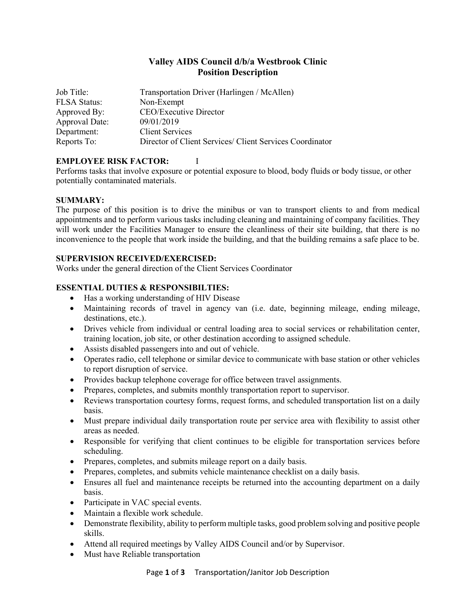# **Valley AIDS Council d/b/a Westbrook Clinic Position Description**

| Job Title:          | Transportation Driver (Harlingen / McAllen)              |
|---------------------|----------------------------------------------------------|
| <b>FLSA Status:</b> | Non-Exempt                                               |
| Approved By:        | <b>CEO/Executive Director</b>                            |
| Approval Date:      | 09/01/2019                                               |
| Department:         | <b>Client Services</b>                                   |
| Reports To:         | Director of Client Services/ Client Services Coordinator |

# **EMPLOYEE RISK FACTOR:** I

Performs tasks that involve exposure or potential exposure to blood, body fluids or body tissue, or other potentially contaminated materials.

### **SUMMARY:**

The purpose of this position is to drive the minibus or van to transport clients to and from medical appointments and to perform various tasks including cleaning and maintaining of company facilities. They will work under the Facilities Manager to ensure the cleanliness of their site building, that there is no inconvenience to the people that work inside the building, and that the building remains a safe place to be.

## **SUPERVISION RECEIVED/EXERCISED:**

Works under the general direction of the Client Services Coordinator

# **ESSENTIAL DUTIES & RESPONSIBILTIES:**

- Has a working understanding of HIV Disease
- Maintaining records of travel in agency van (i.e. date, beginning mileage, ending mileage, destinations, etc.).
- Drives vehicle from individual or central loading area to social services or rehabilitation center, training location, job site, or other destination according to assigned schedule.
- Assists disabled passengers into and out of vehicle.
- Operates radio, cell telephone or similar device to communicate with base station or other vehicles to report disruption of service.
- Provides backup telephone coverage for office between travel assignments.
- Prepares, completes, and submits monthly transportation report to supervisor.
- Reviews transportation courtesy forms, request forms, and scheduled transportation list on a daily basis.
- Must prepare individual daily transportation route per service area with flexibility to assist other areas as needed.
- Responsible for verifying that client continues to be eligible for transportation services before scheduling.
- Prepares, completes, and submits mileage report on a daily basis.
- Prepares, completes, and submits vehicle maintenance checklist on a daily basis.
- Ensures all fuel and maintenance receipts be returned into the accounting department on a daily basis.
- Participate in VAC special events.
- Maintain a flexible work schedule.
- Demonstrate flexibility, ability to perform multiple tasks, good problem solving and positive people skills.
- Attend all required meetings by Valley AIDS Council and/or by Supervisor.
- Must have Reliable transportation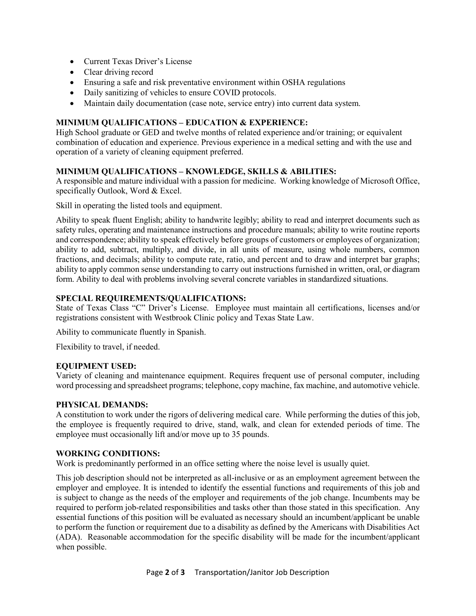- Current Texas Driver's License
- Clear driving record
- Ensuring a safe and risk preventative environment within OSHA regulations
- Daily sanitizing of vehicles to ensure COVID protocols.
- Maintain daily documentation (case note, service entry) into current data system.

# **MINIMUM QUALIFICATIONS – EDUCATION & EXPERIENCE:**

High School graduate or GED and twelve months of related experience and/or training; or equivalent combination of education and experience. Previous experience in a medical setting and with the use and operation of a variety of cleaning equipment preferred.

# **MINIMUM QUALIFICATIONS – KNOWLEDGE, SKILLS & ABILITIES:**

A responsible and mature individual with a passion for medicine. Working knowledge of Microsoft Office, specifically Outlook, Word & Excel.

Skill in operating the listed tools and equipment.

Ability to speak fluent English; ability to handwrite legibly; ability to read and interpret documents such as safety rules, operating and maintenance instructions and procedure manuals; ability to write routine reports and correspondence; ability to speak effectively before groups of customers or employees of organization; ability to add, subtract, multiply, and divide, in all units of measure, using whole numbers, common fractions, and decimals; ability to compute rate, ratio, and percent and to draw and interpret bar graphs; ability to apply common sense understanding to carry out instructions furnished in written, oral, or diagram form. Ability to deal with problems involving several concrete variables in standardized situations.

#### **SPECIAL REQUIREMENTS/QUALIFICATIONS:**

State of Texas Class "C" Driver's License. Employee must maintain all certifications, licenses and/or registrations consistent with Westbrook Clinic policy and Texas State Law.

Ability to communicate fluently in Spanish.

Flexibility to travel, if needed.

### **EQUIPMENT USED:**

Variety of cleaning and maintenance equipment. Requires frequent use of personal computer, including word processing and spreadsheet programs; telephone, copy machine, fax machine, and automotive vehicle.

### **PHYSICAL DEMANDS:**

A constitution to work under the rigors of delivering medical care. While performing the duties of this job, the employee is frequently required to drive, stand, walk, and clean for extended periods of time. The employee must occasionally lift and/or move up to 35 pounds.

#### **WORKING CONDITIONS:**

Work is predominantly performed in an office setting where the noise level is usually quiet.

This job description should not be interpreted as all-inclusive or as an employment agreement between the employer and employee. It is intended to identify the essential functions and requirements of this job and is subject to change as the needs of the employer and requirements of the job change. Incumbents may be required to perform job-related responsibilities and tasks other than those stated in this specification. Any essential functions of this position will be evaluated as necessary should an incumbent/applicant be unable to perform the function or requirement due to a disability as defined by the Americans with Disabilities Act (ADA). Reasonable accommodation for the specific disability will be made for the incumbent/applicant when possible.